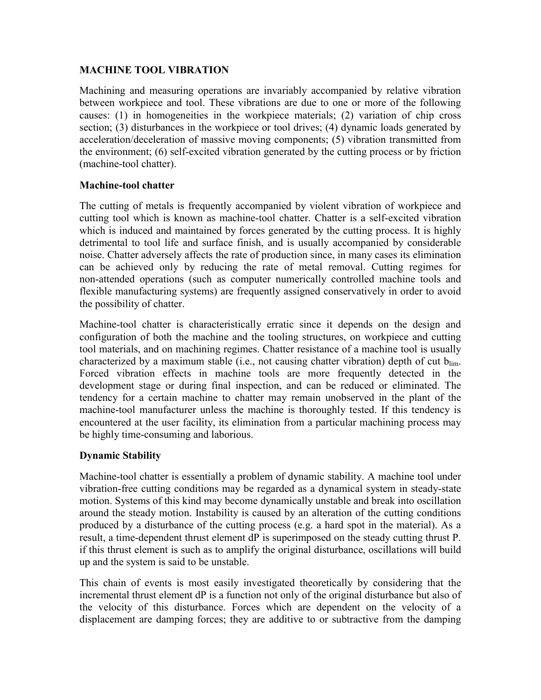## **MACHINE TOOL VIBRATION**

Machining and measuring operations are invariably accompanied by relative vibration between workpiece and tool. These vibrations are due to one or more of the following causes: (1) in homogeneities in the workpiece materials; (2) variation of chip cross section; (3) disturbances in the workpiece or tool drives; (4) dynamic loads generated by acceleration/deceleration of massive moving components; (5) vibration transmitted from the environment; (6) self-excited vibration generated by the cutting process or by friction (machine-tool chatter).

## **Machine-tool chatter**

The cutting of metals is frequently accompanied by violent vibration of workpiece and cutting tool which is known as machine-tool chatter. Chatter is a self-excited vibration which is induced and maintained by forces generated by the cutting process. It is highly detrimental to tool life and surface finish, and is usually accompanied by considerable noise. Chatter adversely affects the rate of production since, in many cases its elimination can be achieved only by reducing the rate of metal removal. Cutting regimes for non-attended operations (such as computer numerically controlled machine tools and flexible manufacturing systems) are frequently assigned conservatively in order to avoid the possibility of chatter.

Machine-tool chatter is characteristically erratic since it depends on the design and configuration of both the machine and the tooling structures, on workpiece and cutting tool materials, and on machining regimes. Chatter resistance of a machine tool is usually characterized by a maximum stable (i.e., not causing chatter vibration) depth of cut blim. Forced vibration effects in machine tools are more frequently detected in the development stage or during final inspection, and can be reduced or eliminated. The tendency for a certain machine to chatter may remain unobserved in the plant of the machine-tool manufacturer unless the machine is thoroughly tested. If this tendency is encountered at the user facility, its elimination from a particular machining process may be highly time-consuming and laborious.

## **Dynamic Stability**

Machine-tool chatter is essentially a problem of dynamic stability. A machine tool under vibration-free cutting conditions may be regarded as a dynamical system in steady-state motion. Systems of this kind may become dynamically unstable and break into oscillation around the steady motion. Instability is caused by an alteration of the cutting conditions produced by a disturbance of the cutting process (e.g. a hard spot in the material). As a result, a time-dependent thrust element dP is superimposed on the steady cutting thrust P. if this thrust element is such as to amplify the original disturbance, oscillations will build up and the system is said to be unstable.

This chain of events is most easily investigated theoretically by considering that the incremental thrust element dP is a function not only of the original disturbance but also of the velocity of this disturbance. Forces which are dependent on the velocity of a displacement are damping forces; they are additive to or subtractive from the damping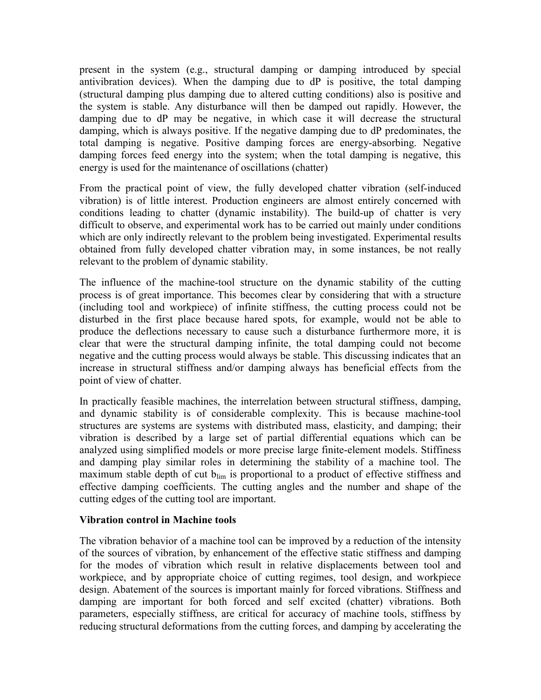present in the system (e.g., structural damping or damping introduced by special antivibration devices). When the damping due to dP is positive, the total damping (structural damping plus damping due to altered cutting conditions) also is positive and the system is stable. Any disturbance will then be damped out rapidly. However, the damping due to dP may be negative, in which case it will decrease the structural damping, which is always positive. If the negative damping due to dP predominates, the total damping is negative. Positive damping forces are energy-absorbing. Negative damping forces feed energy into the system; when the total damping is negative, this energy is used for the maintenance of oscillations (chatter)

From the practical point of view, the fully developed chatter vibration (self-induced vibration) is of little interest. Production engineers are almost entirely concerned with conditions leading to chatter (dynamic instability). The build-up of chatter is very difficult to observe, and experimental work has to be carried out mainly under conditions which are only indirectly relevant to the problem being investigated. Experimental results obtained from fully developed chatter vibration may, in some instances, be not really relevant to the problem of dynamic stability.

The influence of the machine-tool structure on the dynamic stability of the cutting process is of great importance. This becomes clear by considering that with a structure (including tool and workpiece) of infinite stiffness, the cutting process could not be disturbed in the first place because hared spots, for example, would not be able to produce the deflections necessary to cause such a disturbance furthermore more, it is clear that were the structural damping infinite, the total damping could not become negative and the cutting process would always be stable. This discussing indicates that an increase in structural stiffness and/or damping always has beneficial effects from the point of view of chatter.

In practically feasible machines, the interrelation between structural stiffness, damping, and dynamic stability is of considerable complexity. This is because machine-tool structures are systems are systems with distributed mass, elasticity, and damping; their vibration is described by a large set of partial differential equations which can be analyzed using simplified models or more precise large finite-element models. Stiffiness and damping play similar roles in determining the stability of a machine tool. The maximum stable depth of cut blim is proportional to a product of effective stiffness and effective damping coefficients. The cutting angles and the number and shape of the cutting edges of the cutting tool are important.

## **Vibration control in Machine tools**

The vibration behavior of a machine tool can be improved by a reduction of the intensity of the sources of vibration, by enhancement of the effective static stiffness and damping for the modes of vibration which result in relative displacements between tool and workpiece, and by appropriate choice of cutting regimes, tool design, and workpiece design. Abatement of the sources is important mainly for forced vibrations. Stiffness and damping are important for both forced and self excited (chatter) vibrations. Both parameters, especially stiffness, are critical for accuracy of machine tools, stiffness by reducing structural deformations from the cutting forces, and damping by accelerating the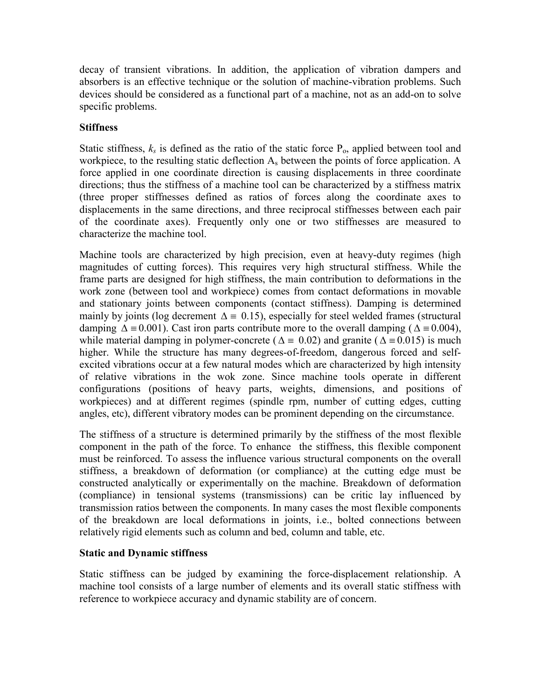decay of transient vibrations. In addition, the application of vibration dampers and absorbers is an effective technique or the solution of machine-vibration problems. Such devices should be considered as a functional part of a machine, not as an add-on to solve specific problems.

## **Stiffness**

Static stiffness,  $k_s$  is defined as the ratio of the static force  $P_0$ , applied between tool and workpiece, to the resulting static deflection As between the points of force application. A force applied in one coordinate direction is causing displacements in three coordinate directions; thus the stiffness of a machine tool can be characterized by a stiffness matrix (three proper stiffnesses defined as ratios of forces along the coordinate axes to displacements in the same directions, and three reciprocal stiffnesses between each pair of the coordinate axes). Frequently only one or two stiffnesses are measured to characterize the machine tool.

Machine tools are characterized by high precision, even at heavy-duty regimes (high magnitudes of cutting forces). This requires very high structural stiffness. While the frame parts are designed for high stiffness, the main contribution to deformations in the work zone (between tool and workpiece) comes from contact deformations in movable and stationary joints between components (contact stiffness). Damping is determined mainly by joints (log decrement  $\Delta = 0.15$ ), especially for steel welded frames (structural damping  $\Delta = 0.001$ ). Cast iron parts contribute more to the overall damping ( $\Delta = 0.004$ ), while material damping in polymer-concrete ( $\Delta = 0.02$ ) and granite ( $\Delta = 0.015$ ) is much higher. While the structure has many degrees-of-freedom, dangerous forced and selfexcited vibrations occur at a few natural modes which are characterized by high intensity of relative vibrations in the wok zone. Since machine tools operate in different configurations (positions of heavy parts, weights, dimensions, and positions of workpieces) and at different regimes (spindle rpm, number of cutting edges, cutting angles, etc), different vibratory modes can be prominent depending on the circumstance.

The stiffness of a structure is determined primarily by the stiffness of the most flexible component in the path of the force. To enhance the stiffness, this flexible component must be reinforced. To assess the influence various structural components on the overall stiffness, a breakdown of deformation (or compliance) at the cutting edge must be constructed analytically or experimentally on the machine. Breakdown of deformation (compliance) in tensional systems (transmissions) can be critic lay influenced by transmission ratios between the components. In many cases the most flexible components of the breakdown are local deformations in joints, i.e., bolted connections between relatively rigid elements such as column and bed, column and table, etc.

## **Static and Dynamic stiffness**

Static stiffness can be judged by examining the force-displacement relationship. A machine tool consists of a large number of elements and its overall static stiffness with reference to workpiece accuracy and dynamic stability are of concern.